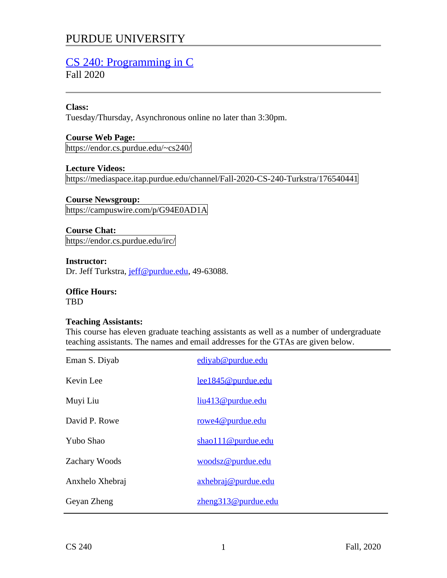# PURDUE UNIVERSITY

# [CS 240: Programming in C](https://endor.cs.purdue.edu/~cs240/)

Fall 2020

## **Class:**

Tuesday/Thursday, Asynchronous online no later than 3:30pm.

**Course Web Page:** https://endor.cs.purdue.edu/~cs240/

**Lecture Videos:** https://mediaspace.itap.purdue.edu/channel/Fall-2020-CS-240-Turkstra/176540441

# **Course Newsgroup:**

https://campuswire.com/p/G94E0AD1A

**Course Chat:** https://endor.cs.purdue.edu/irc/

**Instructor:** Dr. Jeff Turkstra, *jeff@purdue.edu*, 49-63088.

**Office Hours: TBD** 

#### **Teaching Assistants:**

This course has eleven graduate teaching assistants as well as a number of undergraduate teaching assistants. The names and email addresses for the GTAs are given below.

| lee1845@purdue.edu<br>liu413@purdue.edu<br>rowe4@purdue.edu<br>shao111@purdue.edu<br>woodsz@purdue.edu<br>axhebraj@purdue.edu<br>zheng313@purdue.edu | Eman S. Diyab   | ediyab@purdue.edu |
|------------------------------------------------------------------------------------------------------------------------------------------------------|-----------------|-------------------|
|                                                                                                                                                      | Kevin Lee       |                   |
|                                                                                                                                                      | Muyi Liu        |                   |
|                                                                                                                                                      | David P. Rowe   |                   |
|                                                                                                                                                      | Yubo Shao       |                   |
|                                                                                                                                                      | Zachary Woods   |                   |
|                                                                                                                                                      | Anxhelo Xhebraj |                   |
|                                                                                                                                                      | Geyan Zheng     |                   |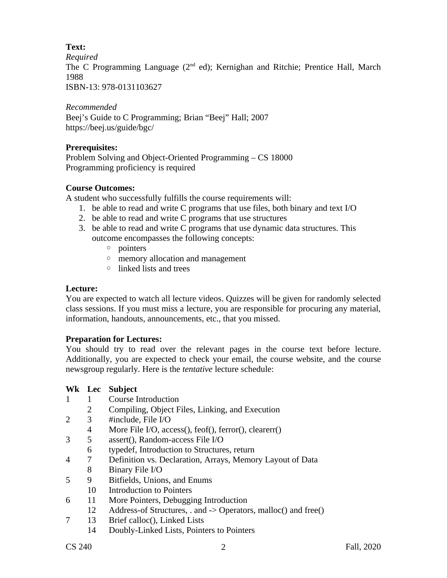# **Text:**

*Required*

The C Programming Language (2<sup>nd</sup> ed); Kernighan and Ritchie; Prentice Hall, March 1988

ISBN-13: 978-0131103627

*Recommended* Beej's Guide to C Programming; Brian "Beej" Hall; 2007 https://beej.us/guide/bgc/

## **Prerequisites:**

Problem Solving and Object-Oriented Programming – CS 18000 Programming proficiency is required

## **Course Outcomes:**

A student who successfully fulfills the course requirements will:

- 1. be able to read and write C programs that use files, both binary and text I/O
- 2. be able to read and write C programs that use structures
- 3. be able to read and write C programs that use dynamic data structures. This outcome encompasses the following concepts:
	- pointers
	- memory allocation and management
	- linked lists and trees

## **Lecture:**

You are expected to watch all lecture videos. Quizzes will be given for randomly selected class sessions. If you must miss a lecture, you are responsible for procuring any material, information, handouts, announcements, etc., that you missed.

# **Preparation for Lectures:**

You should try to read over the relevant pages in the course text before lecture. Additionally, you are expected to check your email, the course website, and the course newsgroup regularly. Here is the *tentative* lecture schedule:

# **Wk Lec Subject**

- 1 1 Course Introduction
	- 2 Compiling, Object Files, Linking, and Execution
- 2 3 #include, File I/O
	- 4 More File I/O, access(), feof(), ferror(), clearerr()
- 3 5 assert(), Random-access File I/O
	- 6 typedef, Introduction to Structures, return
- 4 7 Definition vs. Declaration, Arrays, Memory Layout of Data 8 Binary File I/O
- 5 9 Bitfields, Unions, and Enums
- 10 Introduction to Pointers
- 6 11 More Pointers, Debugging Introduction
	- 12 Address-of Structures, . and -> Operators, malloc() and free()
- 7 13 Brief calloc(), Linked Lists
	- 14 Doubly-Linked Lists, Pointers to Pointers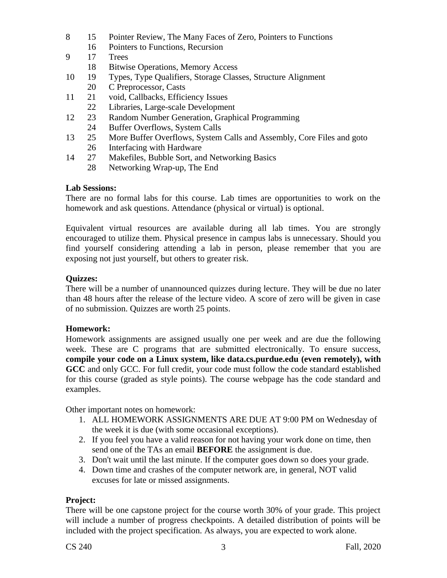- 8 15 Pointer Review, The Many Faces of Zero, Pointers to Functions
	- 16 Pointers to Functions, Recursion
- 9 17 Trees
	- 18 Bitwise Operations, Memory Access
- 10 19 Types, Type Qualifiers, Storage Classes, Structure Alignment
	- 20 C Preprocessor, Casts
- 11 21 void, Callbacks, Efficiency Issues 22 Libraries, Large-scale Development
- 12 23 Random Number Generation, Graphical Programming
- 24 Buffer Overflows, System Calls
- 13 25 More Buffer Overflows, System Calls and Assembly, Core Files and goto 26 Interfacing with Hardware
- 14 27 Makefiles, Bubble Sort, and Networking Basics
	- 28 Networking Wrap-up, The End

## **Lab Sessions:**

There are no formal labs for this course. Lab times are opportunities to work on the homework and ask questions. Attendance (physical or virtual) is optional.

Equivalent virtual resources are available during all lab times. You are strongly encouraged to utilize them. Physical presence in campus labs is unnecessary. Should you find yourself considering attending a lab in person, please remember that you are exposing not just yourself, but others to greater risk.

## **Quizzes:**

There will be a number of unannounced quizzes during lecture. They will be due no later than 48 hours after the release of the lecture video. A score of zero will be given in case of no submission. Quizzes are worth 25 points.

#### **Homework:**

Homework assignments are assigned usually one per week and are due the following week. These are C programs that are submitted electronically. To ensure success, **compile your code on a Linux system, like data.cs.purdue.edu (even remotely), with GCC** and only GCC. For full credit, your code must follow the code standard established for this course (graded as style points). The course webpage has the code standard and examples.

Other important notes on homework:

- 1. ALL HOMEWORK ASSIGNMENTS ARE DUE AT 9:00 PM on Wednesday of the week it is due (with some occasional exceptions).
- 2. If you feel you have a valid reason for not having your work done on time, then send one of the TAs an email **BEFORE** the assignment is due.
- 3. Don't wait until the last minute. If the computer goes down so does your grade.
- 4. Down time and crashes of the computer network are, in general, NOT valid excuses for late or missed assignments.

#### **Project:**

There will be one capstone project for the course worth 30% of your grade. This project will include a number of progress checkpoints. A detailed distribution of points will be included with the project specification. As always, you are expected to work alone.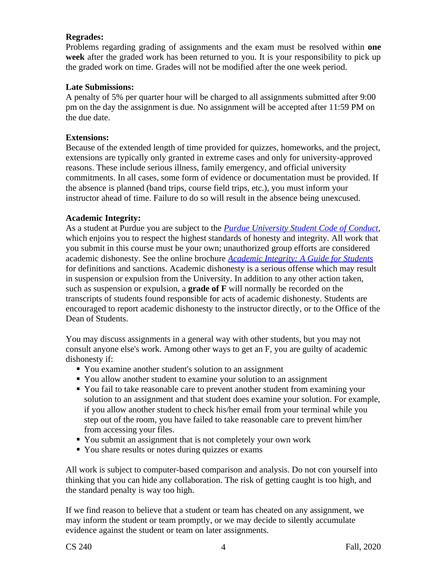## **Regrades:**

Problems regarding grading of assignments and the exam must be resolved within **one week** after the graded work has been returned to you. It is your responsibility to pick up the graded work on time. Grades will not be modified after the one week period.

#### **Late Submissions:**

A penalty of 5% per quarter hour will be charged to all assignments submitted after 9:00 pm on the day the assignment is due. No assignment will be accepted after 11:59 PM on the due date.

#### **Extensions:**

Because of the extended length of time provided for quizzes, homeworks, and the project, extensions are typically only granted in extreme cases and only for university-approved reasons. These include serious illness, family emergency, and official university commitments. In all cases, some form of evidence or documentation must be provided. If the absence is planned (band trips, course field trips, etc.), you must inform your instructor ahead of time. Failure to do so will result in the absence being unexcused.

## **Academic Integrity:**

As a student at Purdue you are subject to the *[Purdue University Student Code of Conduct](http://www.purdue.edu/studentregulations/student_conduct/index.html)*, which enjoins you to respect the highest standards of honesty and integrity. All work that you submit in this course must be your own; unauthorized group efforts are considered academic dishonesty. See the online brochure *[Academic Integrity: A Guide for Students](http://www.purdue.edu/odos/osrr/academic-integrity/index.html)* for definitions and sanctions. Academic dishonesty is a serious offense which may result in suspension or expulsion from the University. In addition to any other action taken, such as suspension or expulsion, a **grade of F** will normally be recorded on the transcripts of students found responsible for acts of academic dishonesty. Students are encouraged to report academic dishonesty to the instructor directly, or to the Office of the Dean of Students.

You may discuss assignments in a general way with other students, but you may not consult anyone else's work. Among other ways to get an F, you are guilty of academic dishonesty if:

- You examine another student's solution to an assignment
- You allow another student to examine your solution to an assignment
- You fail to take reasonable care to prevent another student from examining your solution to an assignment and that student does examine your solution. For example, if you allow another student to check his/her email from your terminal while you step out of the room, you have failed to take reasonable care to prevent him/her from accessing your files.
- You submit an assignment that is not completely your own work
- You share results or notes during quizzes or exams

All work is subject to computer-based comparison and analysis. Do not con yourself into thinking that you can hide any collaboration. The risk of getting caught is too high, and the standard penalty is way too high.

If we find reason to believe that a student or team has cheated on any assignment, we may inform the student or team promptly, or we may decide to silently accumulate evidence against the student or team on later assignments.